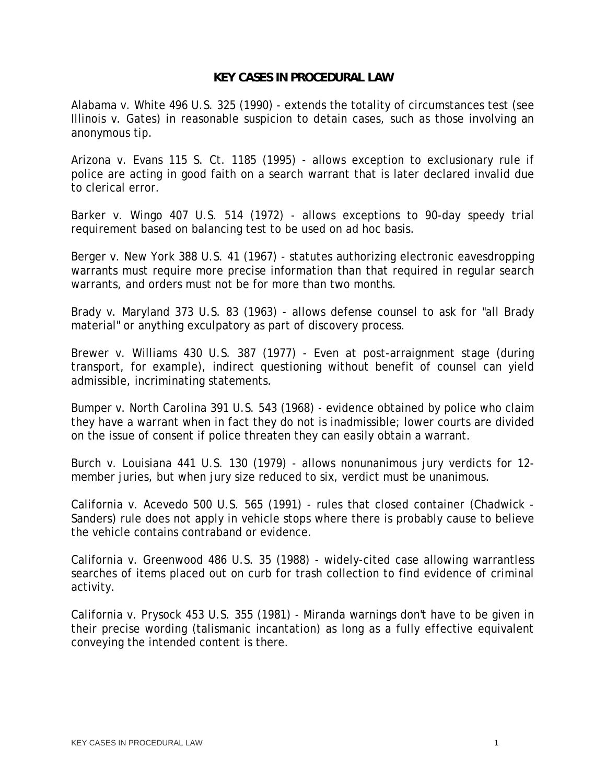## **KEY CASES IN PROCEDURAL LAW**

Alabama v. White 496 U.S. 325 (1990) - extends the totality of circumstances test (see Illinois v. Gates) in reasonable suspicion to detain cases, such as those involving an anonymous tip.

Arizona v. Evans 115 S. Ct. 1185 (1995) - allows exception to exclusionary rule if police are acting in good faith on a search warrant that is later declared invalid due to clerical error.

Barker v. Wingo 407 U.S. 514 (1972) - allows exceptions to 90-day speedy trial requirement based on balancing test to be used on ad hoc basis.

Berger v. New York 388 U.S. 41 (1967) - statutes authorizing electronic eavesdropping warrants must require more precise information than that required in regular search warrants, and orders must not be for more than two months.

Brady v. Maryland 373 U.S. 83 (1963) - allows defense counsel to ask for "all Brady material" or anything exculpatory as part of discovery process.

Brewer v. Williams 430 U.S. 387 (1977) - Even at post-arraignment stage (during transport, for example), indirect questioning without benefit of counsel can yield admissible, incriminating statements.

Bumper v. North Carolina 391 U.S. 543 (1968) - evidence obtained by police who claim they have a warrant when in fact they do not is inadmissible; lower courts are divided on the issue of consent if police threaten they can easily obtain a warrant.

Burch v. Louisiana 441 U.S. 130 (1979) - allows nonunanimous jury verdicts for 12 member juries, but when jury size reduced to six, verdict must be unanimous.

California v. Acevedo 500 U.S. 565 (1991) - rules that closed container (Chadwick - Sanders) rule does not apply in vehicle stops where there is probably cause to believe the vehicle contains contraband or evidence.

California v. Greenwood 486 U.S. 35 (1988) - widely-cited case allowing warrantless searches of items placed out on curb for trash collection to find evidence of criminal activity.

California v. Prysock 453 U.S. 355 (1981) - Miranda warnings don't have to be given in their precise wording (talismanic incantation) as long as a fully effective equivalent conveying the intended content is there.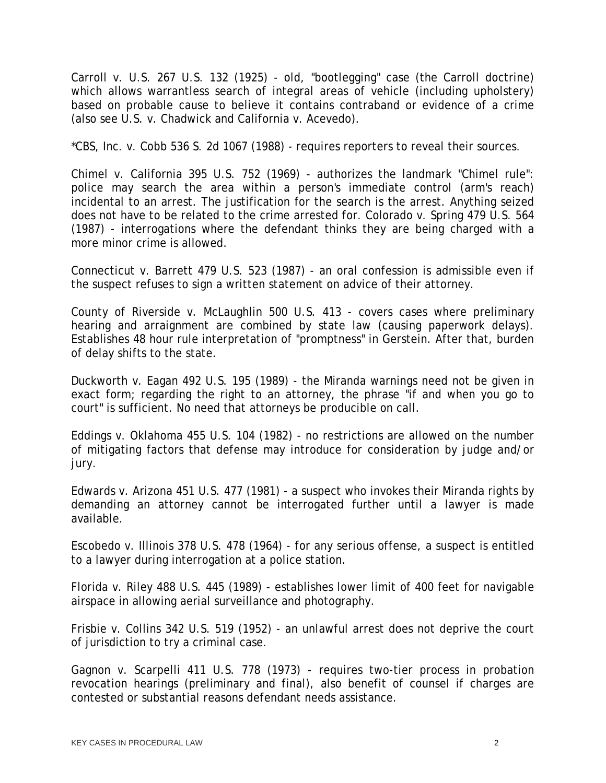Carroll v. U.S. 267 U.S. 132 (1925) - old, "bootlegging" case (the Carroll doctrine) which allows warrantless search of integral areas of vehicle (including upholstery) based on probable cause to believe it contains contraband or evidence of a crime (also see U.S. v. Chadwick and California v. Acevedo).

\*CBS, Inc. v. Cobb 536 S. 2d 1067 (1988) - requires reporters to reveal their sources.

Chimel v. California 395 U.S. 752 (1969) - authorizes the landmark "Chimel rule": police may search the area within a person's immediate control (arm's reach) incidental to an arrest. The justification for the search is the arrest. Anything seized does not have to be related to the crime arrested for. Colorado v. Spring 479 U.S. 564 (1987) - interrogations where the defendant thinks they are being charged with a more minor crime is allowed.

Connecticut v. Barrett 479 U.S. 523 (1987) - an oral confession is admissible even if the suspect refuses to sign a written statement on advice of their attorney.

County of Riverside v. McLaughlin 500 U.S. 413 - covers cases where preliminary hearing and arraignment are combined by state law (causing paperwork delays). Establishes 48 hour rule interpretation of "promptness" in Gerstein. After that, burden of delay shifts to the state.

Duckworth v. Eagan 492 U.S. 195 (1989) - the Miranda warnings need not be given in exact form; regarding the right to an attorney, the phrase "if and when you go to court" is sufficient. No need that attorneys be producible on call.

Eddings v. Oklahoma 455 U.S. 104 (1982) - no restrictions are allowed on the number of mitigating factors that defense may introduce for consideration by judge and/or jury.

Edwards v. Arizona 451 U.S. 477 (1981) - a suspect who invokes their Miranda rights by demanding an attorney cannot be interrogated further until a lawyer is made available.

Escobedo v. Illinois 378 U.S. 478 (1964) - for any serious offense, a suspect is entitled to a lawyer during interrogation at a police station.

Florida v. Riley 488 U.S. 445 (1989) - establishes lower limit of 400 feet for navigable airspace in allowing aerial surveillance and photography.

Frisbie v. Collins 342 U.S. 519 (1952) - an unlawful arrest does not deprive the court of jurisdiction to try a criminal case.

Gagnon v. Scarpelli 411 U.S. 778 (1973) - requires two-tier process in probation revocation hearings (preliminary and final), also benefit of counsel if charges are contested or substantial reasons defendant needs assistance.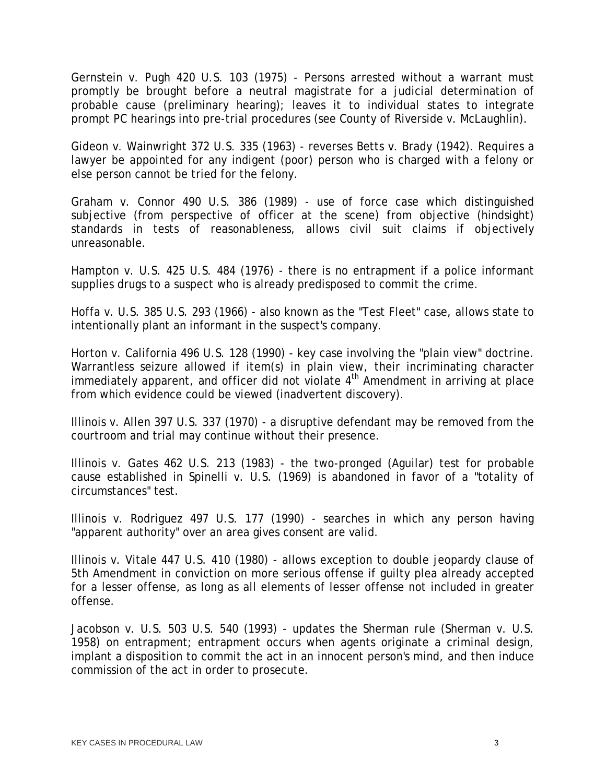Gernstein v. Pugh 420 U.S. 103 (1975) - Persons arrested without a warrant must promptly be brought before a neutral magistrate for a judicial determination of probable cause (preliminary hearing); leaves it to individual states to integrate prompt PC hearings into pre-trial procedures (see County of Riverside v. McLaughlin).

Gideon v. Wainwright 372 U.S. 335 (1963) - reverses Betts v. Brady (1942). Requires a lawyer be appointed for any indigent (poor) person who is charged with a felony or else person cannot be tried for the felony.

Graham v. Connor 490 U.S. 386 (1989) - use of force case which distinguished subjective (from perspective of officer at the scene) from objective (hindsight) standards in tests of reasonableness, allows civil suit claims if objectively unreasonable.

Hampton v. U.S. 425 U.S. 484 (1976) - there is no entrapment if a police informant supplies drugs to a suspect who is already predisposed to commit the crime.

Hoffa v. U.S. 385 U.S. 293 (1966) - also known as the "Test Fleet" case, allows state to intentionally plant an informant in the suspect's company.

Horton v. California 496 U.S. 128 (1990) - key case involving the "plain view" doctrine. Warrantless seizure allowed if item(s) in plain view, their incriminating character immediately apparent, and officer did not violate  $4<sup>th</sup>$  Amendment in arriving at place from which evidence could be viewed (inadvertent discovery).

Illinois v. Allen 397 U.S. 337 (1970) - a disruptive defendant may be removed from the courtroom and trial may continue without their presence.

Illinois v. Gates 462 U.S. 213 (1983) - the two-pronged (Aguilar) test for probable cause established in Spinelli v. U.S. (1969) is abandoned in favor of a "totality of circumstances" test.

Illinois v. Rodriguez 497 U.S. 177 (1990) - searches in which any person having "apparent authority" over an area gives consent are valid.

Illinois v. Vitale 447 U.S. 410 (1980) - allows exception to double jeopardy clause of 5th Amendment in conviction on more serious offense if guilty plea already accepted for a lesser offense, as long as all elements of lesser offense not included in greater offense.

Jacobson v. U.S. 503 U.S. 540 (1993) - updates the Sherman rule (Sherman v. U.S. 1958) on entrapment; entrapment occurs when agents originate a criminal design, implant a disposition to commit the act in an innocent person's mind, and then induce commission of the act in order to prosecute.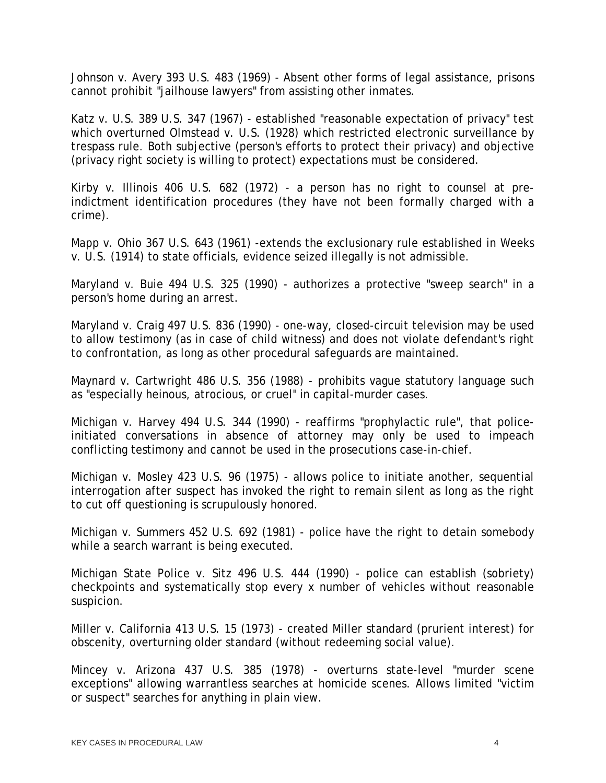Johnson v. Avery 393 U.S. 483 (1969) - Absent other forms of legal assistance, prisons cannot prohibit "jailhouse lawyers" from assisting other inmates.

Katz v. U.S. 389 U.S. 347 (1967) - established "reasonable expectation of privacy" test which overturned Olmstead v. U.S. (1928) which restricted electronic surveillance by trespass rule. Both subjective (person's efforts to protect their privacy) and objective (privacy right society is willing to protect) expectations must be considered.

Kirby v. Illinois 406 U.S. 682 (1972) - a person has no right to counsel at preindictment identification procedures (they have not been formally charged with a crime).

Mapp v. Ohio 367 U.S. 643 (1961) -extends the exclusionary rule established in Weeks v. U.S. (1914) to state officials, evidence seized illegally is not admissible.

Maryland v. Buie 494 U.S. 325 (1990) - authorizes a protective "sweep search" in a person's home during an arrest.

Maryland v. Craig 497 U.S. 836 (1990) - one-way, closed-circuit television may be used to allow testimony (as in case of child witness) and does not violate defendant's right to confrontation, as long as other procedural safeguards are maintained.

Maynard v. Cartwright 486 U.S. 356 (1988) - prohibits vague statutory language such as "especially heinous, atrocious, or cruel" in capital-murder cases.

Michigan v. Harvey 494 U.S. 344 (1990) - reaffirms "prophylactic rule", that policeinitiated conversations in absence of attorney may only be used to impeach conflicting testimony and cannot be used in the prosecutions case-in-chief.

Michigan v. Mosley 423 U.S. 96 (1975) - allows police to initiate another, sequential interrogation after suspect has invoked the right to remain silent as long as the right to cut off questioning is scrupulously honored.

Michigan v. Summers 452 U.S. 692 (1981) - police have the right to detain somebody while a search warrant is being executed.

Michigan State Police v. Sitz 496 U.S. 444 (1990) - police can establish (sobriety) checkpoints and systematically stop every x number of vehicles without reasonable suspicion.

Miller v. California 413 U.S. 15 (1973) - created Miller standard (prurient interest) for obscenity, overturning older standard (without redeeming social value).

Mincey v. Arizona 437 U.S. 385 (1978) - overturns state-level "murder scene exceptions" allowing warrantless searches at homicide scenes. Allows limited "victim or suspect" searches for anything in plain view.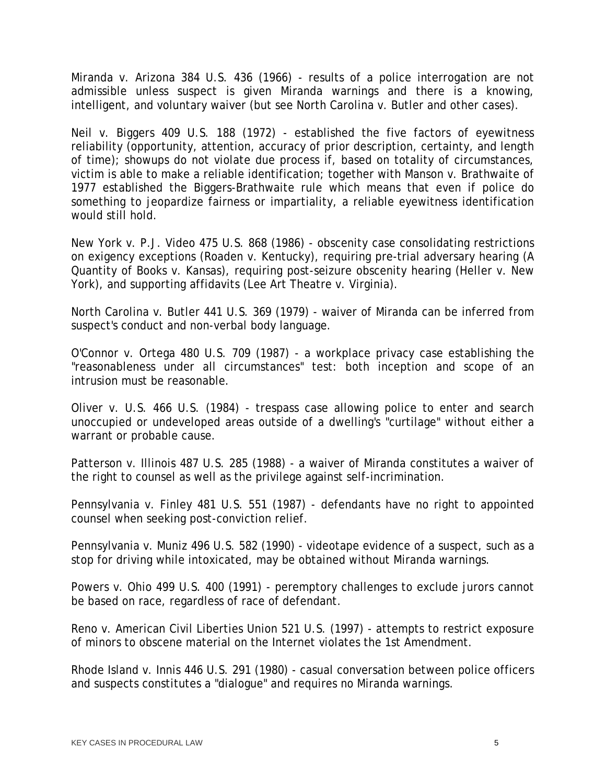Miranda v. Arizona 384 U.S. 436 (1966) - results of a police interrogation are not admissible unless suspect is given Miranda warnings and there is a knowing, intelligent, and voluntary waiver (but see North Carolina v. Butler and other cases).

Neil v. Biggers 409 U.S. 188 (1972) - established the five factors of eyewitness reliability (opportunity, attention, accuracy of prior description, certainty, and length of time); showups do not violate due process if, based on totality of circumstances, victim is able to make a reliable identification; together with Manson v. Brathwaite of 1977 established the Biggers-Brathwaite rule which means that even if police do something to jeopardize fairness or impartiality, a reliable eyewitness identification would still hold.

New York v. P.J. Video 475 U.S. 868 (1986) - obscenity case consolidating restrictions on exigency exceptions (Roaden v. Kentucky), requiring pre-trial adversary hearing (A Quantity of Books v. Kansas), requiring post-seizure obscenity hearing (Heller v. New York), and supporting affidavits (Lee Art Theatre v. Virginia).

North Carolina v. Butler 441 U.S. 369 (1979) - waiver of Miranda can be inferred from suspect's conduct and non-verbal body language.

O'Connor v. Ortega 480 U.S. 709 (1987) - a workplace privacy case establishing the "reasonableness under all circumstances" test: both inception and scope of an intrusion must be reasonable.

Oliver v. U.S. 466 U.S. (1984) - trespass case allowing police to enter and search unoccupied or undeveloped areas outside of a dwelling's "curtilage" without either a warrant or probable cause.

Patterson v. Illinois 487 U.S. 285 (1988) - a waiver of Miranda constitutes a waiver of the right to counsel as well as the privilege against self-incrimination.

Pennsylvania v. Finley 481 U.S. 551 (1987) - defendants have no right to appointed counsel when seeking post-conviction relief.

Pennsylvania v. Muniz 496 U.S. 582 (1990) - videotape evidence of a suspect, such as a stop for driving while intoxicated, may be obtained without Miranda warnings.

Powers v. Ohio 499 U.S. 400 (1991) - peremptory challenges to exclude jurors cannot be based on race, regardless of race of defendant.

Reno v. American Civil Liberties Union 521 U.S. (1997) - attempts to restrict exposure of minors to obscene material on the Internet violates the 1st Amendment.

Rhode Island v. Innis 446 U.S. 291 (1980) - casual conversation between police officers and suspects constitutes a "dialogue" and requires no Miranda warnings.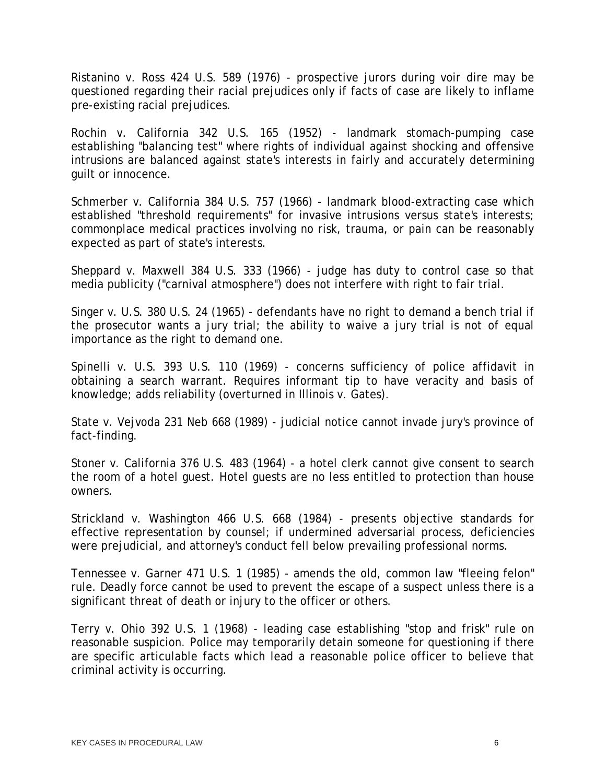Ristanino v. Ross 424 U.S. 589 (1976) - prospective jurors during voir dire may be questioned regarding their racial prejudices only if facts of case are likely to inflame pre-existing racial prejudices.

Rochin v. California 342 U.S. 165 (1952) - landmark stomach-pumping case establishing "balancing test" where rights of individual against shocking and offensive intrusions are balanced against state's interests in fairly and accurately determining guilt or innocence.

Schmerber v. California 384 U.S. 757 (1966) - landmark blood-extracting case which established "threshold requirements" for invasive intrusions versus state's interests; commonplace medical practices involving no risk, trauma, or pain can be reasonably expected as part of state's interests.

Sheppard v. Maxwell 384 U.S. 333 (1966) - judge has duty to control case so that media publicity ("carnival atmosphere") does not interfere with right to fair trial.

Singer v. U.S. 380 U.S. 24 (1965) - defendants have no right to demand a bench trial if the prosecutor wants a jury trial; the ability to waive a jury trial is not of equal importance as the right to demand one.

Spinelli v. U.S. 393 U.S. 110 (1969) - concerns sufficiency of police affidavit in obtaining a search warrant. Requires informant tip to have veracity and basis of knowledge; adds reliability (overturned in Illinois v. Gates).

State v. Vejvoda 231 Neb 668 (1989) - judicial notice cannot invade jury's province of fact-finding.

Stoner v. California 376 U.S. 483 (1964) - a hotel clerk cannot give consent to search the room of a hotel guest. Hotel guests are no less entitled to protection than house owners.

Strickland v. Washington 466 U.S. 668 (1984) - presents objective standards for effective representation by counsel; if undermined adversarial process, deficiencies were prejudicial, and attorney's conduct fell below prevailing professional norms.

Tennessee v. Garner 471 U.S. 1 (1985) - amends the old, common law "fleeing felon" rule. Deadly force cannot be used to prevent the escape of a suspect unless there is a significant threat of death or injury to the officer or others.

Terry v. Ohio 392 U.S. 1 (1968) - leading case establishing "stop and frisk" rule on reasonable suspicion. Police may temporarily detain someone for questioning if there are specific articulable facts which lead a reasonable police officer to believe that criminal activity is occurring.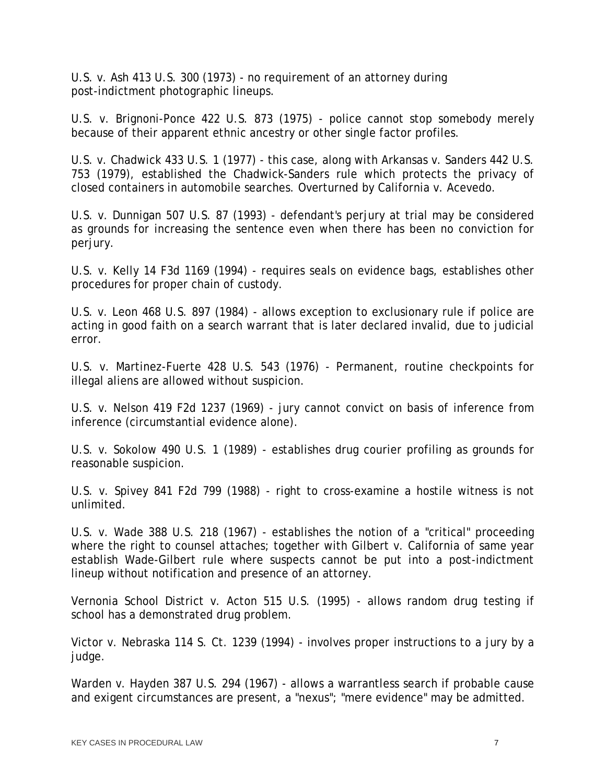U.S. v. Ash 413 U.S. 300 (1973) - no requirement of an attorney during post-indictment photographic lineups.

U.S. v. Brignoni-Ponce 422 U.S. 873 (1975) - police cannot stop somebody merely because of their apparent ethnic ancestry or other single factor profiles.

U.S. v. Chadwick 433 U.S. 1 (1977) - this case, along with Arkansas v. Sanders 442 U.S. 753 (1979), established the Chadwick-Sanders rule which protects the privacy of closed containers in automobile searches. Overturned by California v. Acevedo.

U.S. v. Dunnigan 507 U.S. 87 (1993) - defendant's perjury at trial may be considered as grounds for increasing the sentence even when there has been no conviction for perjury.

U.S. v. Kelly 14 F3d 1169 (1994) - requires seals on evidence bags, establishes other procedures for proper chain of custody.

U.S. v. Leon 468 U.S. 897 (1984) - allows exception to exclusionary rule if police are acting in good faith on a search warrant that is later declared invalid, due to judicial error.

U.S. v. Martinez-Fuerte 428 U.S. 543 (1976) - Permanent, routine checkpoints for illegal aliens are allowed without suspicion.

U.S. v. Nelson 419 F2d 1237 (1969) - jury cannot convict on basis of inference from inference (circumstantial evidence alone).

U.S. v. Sokolow 490 U.S. 1 (1989) - establishes drug courier profiling as grounds for reasonable suspicion.

U.S. v. Spivey 841 F2d 799 (1988) - right to cross-examine a hostile witness is not unlimited.

U.S. v. Wade 388 U.S. 218 (1967) - establishes the notion of a "critical" proceeding where the right to counsel attaches; together with Gilbert v. California of same year establish Wade-Gilbert rule where suspects cannot be put into a post-indictment lineup without notification and presence of an attorney.

Vernonia School District v. Acton 515 U.S. (1995) - allows random drug testing if school has a demonstrated drug problem.

Victor v. Nebraska 114 S. Ct. 1239 (1994) - involves proper instructions to a jury by a judge.

Warden v. Hayden 387 U.S. 294 (1967) - allows a warrantless search if probable cause and exigent circumstances are present, a "nexus"; "mere evidence" may be admitted.